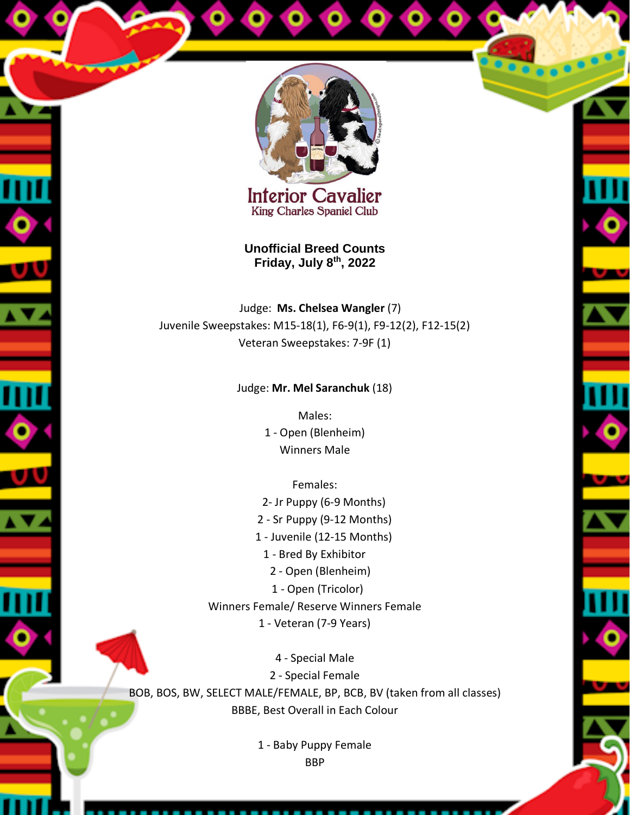

**Interior Cavalier King Charles Spaniel Club** 

**Unofficial Breed Counts Friday, July 8th, 2022**

Judge: **Ms. Chelsea Wangler** (7) Juvenile Sweepstakes: M15-18(1), F6-9(1), F9-12(2), F12-15(2) Veteran Sweepstakes: 7-9F (1)

## Judge: **Mr. Mel Saranchuk** (18)

Males: 1 - Open (Blenheim) Winners Male

Females:

 2- Jr Puppy (6-9 Months) 2 - Sr Puppy (9-12 Months) 1 - Juvenile (12-15 Months) 1 - Bred By Exhibitor 2 - Open (Blenheim) 1 - Open (Tricolor) Winners Female/ Reserve Winners Female 1 - Veteran (7-9 Years)

4 - Special Male 2 - Special Female BOB, BOS, BW, SELECT MALE/FEMALE, BP, BCB, BV (taken from all classes) BBBE, Best Overall in Each Colour

> 1 - Baby Puppy Female BBP